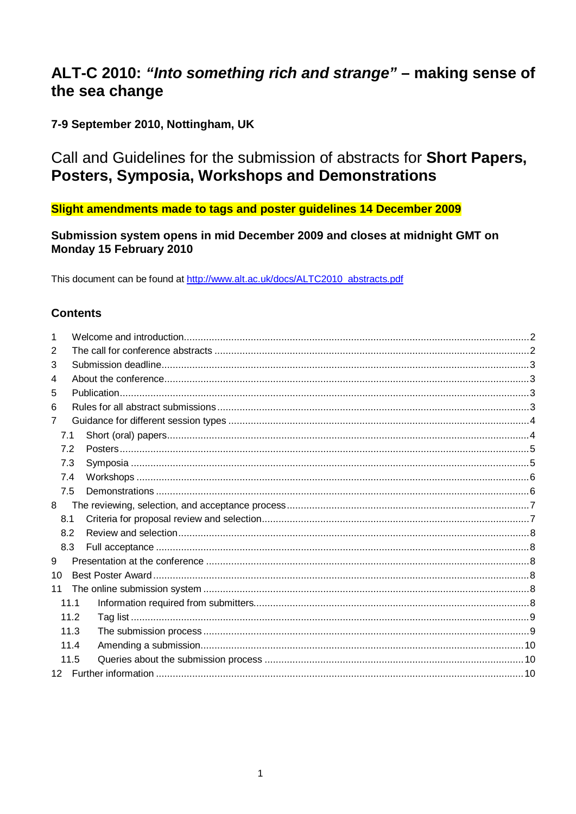# ALT-C 2010: "Into something rich and strange" - making sense of the sea change

# 7-9 September 2010, Nottingham, UK

# Call and Guidelines for the submission of abstracts for Short Papers, Posters, Symposia, Workshops and Demonstrations

# Slight amendments made to tags and poster guidelines 14 December 2009

Submission system opens in mid December 2009 and closes at midnight GMT on Monday 15 February 2010

This document can be found at http://www.alt.ac.uk/docs/ALTC2010\_abstracts.pdf

# **Contents**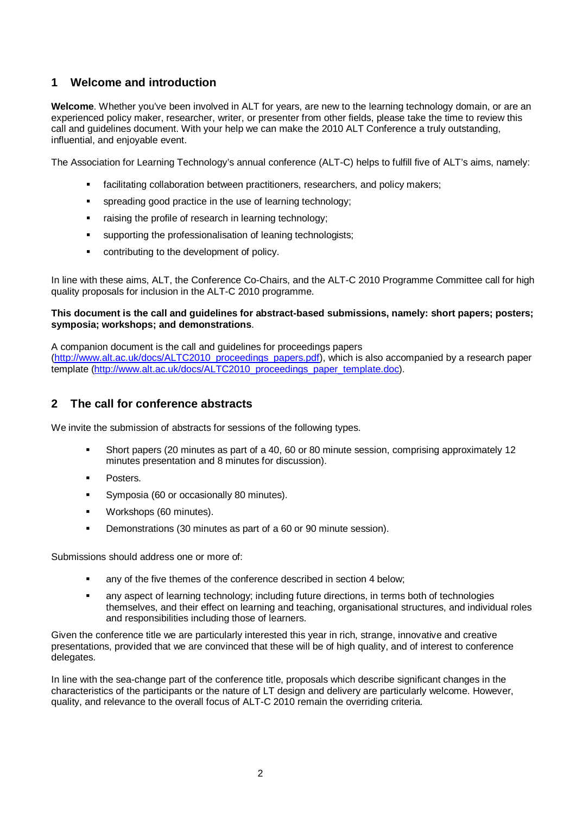## <span id="page-1-0"></span>**1 Welcome and introduction**

**Welcome**. Whether you've been involved in ALT for years, are new to the learning technology domain, or are an experienced policy maker, researcher, writer, or presenter from other fields, please take the time to review this call and guidelines document. With your help we can make the 2010 ALT Conference a truly outstanding, influential, and enjoyable event.

The Association for Learning Technology's annual conference (ALT-C) helps to fulfill five of ALT's aims, namely:

- **Facilitating collaboration between practitioners, researchers, and policy makers;**
- spreading good practice in the use of learning technology;
- raising the profile of research in learning technology;
- supporting the professionalisation of leaning technologists;
- **EXECONTRE** contributing to the development of policy.

In line with these aims, ALT, the Conference Co-Chairs, and the ALT-C 2010 Programme Committee call for high quality proposals for inclusion in the ALT-C 2010 programme.

#### **This document is the call and guidelines for abstract-based submissions, namely: short papers; posters; symposia; workshops; and demonstrations**.

A companion document is the call and guidelines for proceedings papers [\(http://www.alt.ac.uk/docs/ALTC2010\\_proceedings\\_papers.pdf](http://www.alt.ac.uk/docs/ALTC2010_proceedings_papers.pdf)), which is also accompanied by a research paper template [\(http://www.alt.ac.uk/docs/ALTC2010\\_proceedings\\_paper\\_template.doc\)](http://www.alt.ac.uk/docs/ALTC2010_proceedings_paper_template.doc).

## **2 The call for conference abstracts**

We invite the submission of abstracts for sessions of the following types.

- Short papers (20 minutes as part of a 40, 60 or 80 minute session, comprising approximately 12 minutes presentation and 8 minutes for discussion).
- Posters.
- **Symposia (60 or occasionally 80 minutes).**
- **Workshops (60 minutes).**
- Demonstrations (30 minutes as part of a 60 or 90 minute session).

Submissions should address one or more of:

- any of the five themes of the conference described in section 4 below;
- any aspect of learning technology; including future directions, in terms both of technologies themselves, and their effect on learning and teaching, organisational structures, and individual roles and responsibilities including those of learners.

Given the conference title we are particularly interested this year in rich, strange, innovative and creative presentations, provided that we are convinced that these will be of high quality, and of interest to conference delegates.

In line with the sea-change part of the conference title, proposals which describe significant changes in the characteristics of the participants or the nature of LT design and delivery are particularly welcome. However, quality, and relevance to the overall focus of ALT-C 2010 remain the overriding criteria.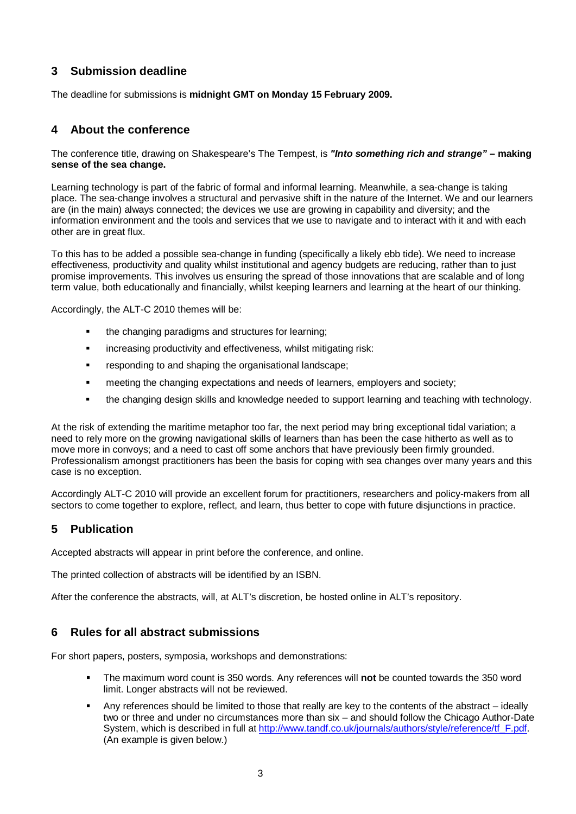# <span id="page-2-0"></span>**3 Submission deadline**

The deadline for submissions is **midnight GMT on Monday 15 February 2009.**

## **4 About the conference**

The conference title, drawing on Shakespeare's The Tempest, is *"Into something rich and strange"* **– making sense of the sea change.** 

Learning technology is part of the fabric of formal and informal learning. Meanwhile, a sea-change is taking place. The sea-change involves a structural and pervasive shift in the nature of the Internet. We and our learners are (in the main) always connected; the devices we use are growing in capability and diversity; and the information environment and the tools and services that we use to navigate and to interact with it and with each other are in great flux.

To this has to be added a possible sea-change in funding (specifically a likely ebb tide). We need to increase effectiveness, productivity and quality whilst institutional and agency budgets are reducing, rather than to just promise improvements. This involves us ensuring the spread of those innovations that are scalable and of long term value, both educationally and financially, whilst keeping learners and learning at the heart of our thinking.

Accordingly, the ALT-C 2010 themes will be:

- the changing paradigms and structures for learning;
- **EXECT** increasing productivity and effectiveness, whilst mitigating risk:
- **Fig. 2** responding to and shaping the organisational landscape;
- **EXECT** meeting the changing expectations and needs of learners, employers and society;
- the changing design skills and knowledge needed to support learning and teaching with technology.

At the risk of extending the maritime metaphor too far, the next period may bring exceptional tidal variation; a need to rely more on the growing navigational skills of learners than has been the case hitherto as well as to move more in convoys; and a need to cast off some anchors that have previously been firmly grounded. Professionalism amongst practitioners has been the basis for coping with sea changes over many years and this case is no exception.

Accordingly ALT-C 2010 will provide an excellent forum for practitioners, researchers and policy-makers from all sectors to come together to explore, reflect, and learn, thus better to cope with future disjunctions in practice.

## **5 Publication**

Accepted abstracts will appear in print before the conference, and online.

The printed collection of abstracts will be identified by an ISBN.

After the conference the abstracts, will, at ALT's discretion, be hosted online in ALT's repository.

## **6 Rules for all abstract submissions**

For short papers, posters, symposia, workshops and demonstrations:

- The maximum word count is 350 words. Any references will **not** be counted towards the 350 word limit. Longer abstracts will not be reviewed.
- Any references should be limited to those that really are key to the contents of the abstract ideally two or three and under no circumstances more than six – and should follow the Chicago Author-Date System, which is described in full at [http://www.tandf.co.uk/journals/authors/style/reference/tf\\_F.pdf.](http://www.tandf.co.uk/journals/authors/style/reference/tf_F.pdf) (An example is given below.)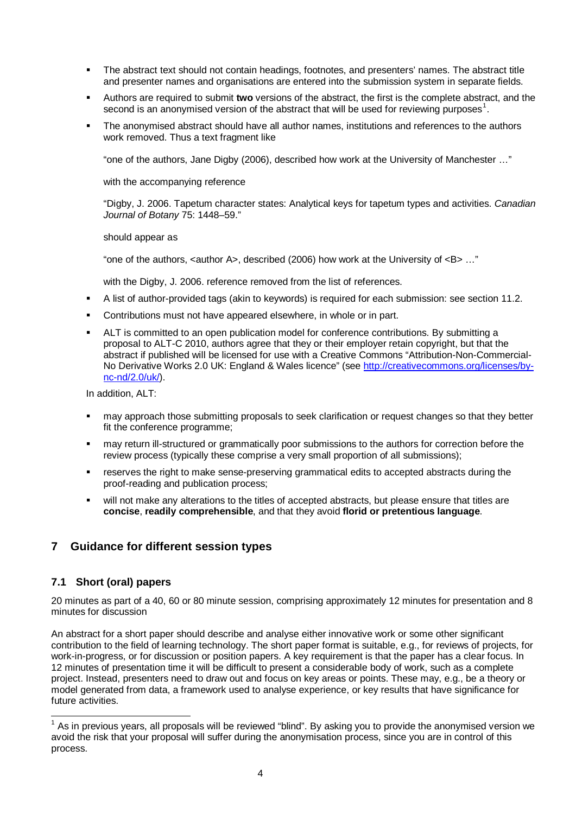- <span id="page-3-0"></span> The abstract text should not contain headings, footnotes, and presenters' names. The abstract title and presenter names and organisations are entered into the submission system in separate fields.
- Authors are required to submit **two** versions of the abstract, the first is the complete abstract, and the second is an anonymised version of the abstract that will be used for reviewing purposes<sup>[1](#page-3-1)</sup>.
- **The anonymised abstract should have all author names, institutions and references to the authors** work removed. Thus a text fragment like

"one of the authors, Jane Digby (2006), described how work at the University of Manchester …"

with the accompanying reference

"Digby, J. 2006. Tapetum character states: Analytical keys for tapetum types and activities. *Canadian Journal of Botany* 75: 1448–59."

should appear as

"one of the authors,  $\alpha$  author A>, described (2006) how work at the University of  $\alpha$ B> ..."

with the Digby, J. 2006. reference removed from the list of references.

- A list of author-provided tags (akin to keywords) is required for each submission: see section 11.2.
- Contributions must not have appeared elsewhere, in whole or in part.
- ALT is committed to an open publication model for conference contributions. By submitting a proposal to ALT-C 2010, authors agree that they or their employer retain copyright, but that the abstract if published will be licensed for use with a Creative Commons "Attribution-Non-Commercial-No Derivative Works 2.0 UK: England & Wales licence" (see [http://creativecommons.org/licenses/by](http://creativecommons.org/licenses/by-nc-nd/2.0/uk/)[nc-nd/2.0/uk/\)](http://creativecommons.org/licenses/by-nc-nd/2.0/uk/).

In addition, ALT:

- **nay approach those submitting proposals to seek clarification or request changes so that they better** fit the conference programme;
- may return ill-structured or grammatically poor submissions to the authors for correction before the review process (typically these comprise a very small proportion of all submissions);
- reserves the right to make sense-preserving grammatical edits to accepted abstracts during the proof-reading and publication process;
- will not make any alterations to the titles of accepted abstracts, but please ensure that titles are **concise**, **readily comprehensible**, and that they avoid **florid or pretentious language**.

## **7 Guidance for different session types**

#### **7.1 Short (oral) papers**

 $\overline{\phantom{a}}$ 

20 minutes as part of a 40, 60 or 80 minute session, comprising approximately 12 minutes for presentation and 8 minutes for discussion

An abstract for a short paper should describe and analyse either innovative work or some other significant contribution to the field of learning technology. The short paper format is suitable, e.g., for reviews of projects, for work-in-progress, or for discussion or position papers. A key requirement is that the paper has a clear focus. In 12 minutes of presentation time it will be difficult to present a considerable body of work, such as a complete project. Instead, presenters need to draw out and focus on key areas or points. These may, e.g., be a theory or model generated from data, a framework used to analyse experience, or key results that have significance for future activities.

<span id="page-3-1"></span> $1$  As in previous years, all proposals will be reviewed "blind". By asking you to provide the anonymised version we avoid the risk that your proposal will suffer during the anonymisation process, since you are in control of this process.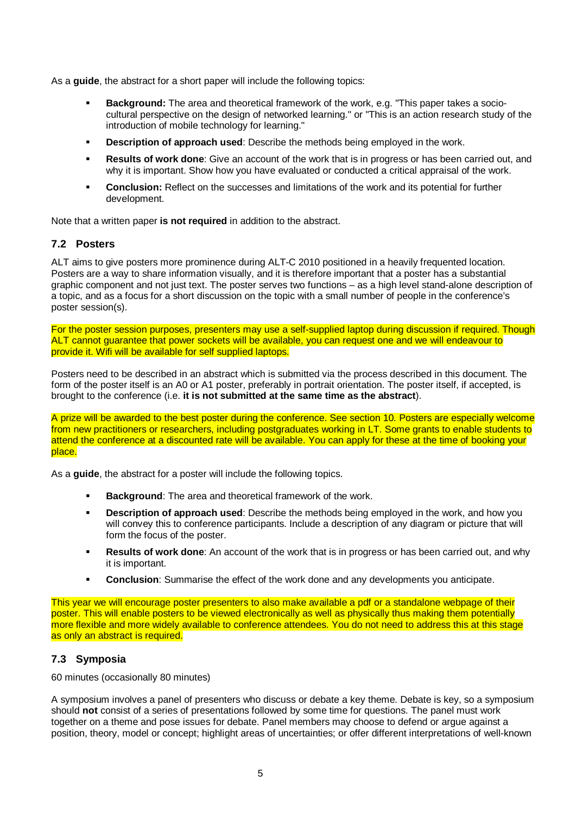<span id="page-4-0"></span>As a **guide**, the abstract for a short paper will include the following topics:

- **Background:** The area and theoretical framework of the work, e.g. "This paper takes a sociocultural perspective on the design of networked learning." or "This is an action research study of the introduction of mobile technology for learning."
- **Description of approach used**: Describe the methods being employed in the work.
- **Results of work done**: Give an account of the work that is in progress or has been carried out, and why it is important. Show how you have evaluated or conducted a critical appraisal of the work.
- **Conclusion:** Reflect on the successes and limitations of the work and its potential for further development.

Note that a written paper **is not required** in addition to the abstract.

#### **7.2 Posters**

ALT aims to give posters more prominence during ALT-C 2010 positioned in a heavily frequented location. Posters are a way to share information visually, and it is therefore important that a poster has a substantial graphic component and not just text. The poster serves two functions – as a high level stand-alone description of a topic, and as a focus for a short discussion on the topic with a small number of people in the conference's poster session(s).

For the poster session purposes, presenters may use a self-supplied laptop during discussion if required. Though ALT cannot guarantee that power sockets will be available, you can request one and we will endeavour to provide it. Wifi will be available for self supplied laptops.

Posters need to be described in an abstract which is submitted via the process described in this document. The form of the poster itself is an A0 or A1 poster, preferably in portrait orientation. The poster itself, if accepted, is brought to the conference (i.e. **it is not submitted at the same time as the abstract**).

A prize will be awarded to the best poster during the conference. See section 10. Posters are especially welcome from new practitioners or researchers, including postgraduates working in LT. Some grants to enable students to attend the conference at a discounted rate will be available. You can apply for these at the time of booking your place.

As a **guide**, the abstract for a poster will include the following topics.

- **Background**: The area and theoretical framework of the work.
- **Description of approach used:** Describe the methods being employed in the work, and how you will convey this to conference participants. Include a description of any diagram or picture that will form the focus of the poster.
- **Results of work done**: An account of the work that is in progress or has been carried out, and why it is important.
- **Conclusion**: Summarise the effect of the work done and any developments you anticipate.

This year we will encourage poster presenters to also make available a pdf or a standalone webpage of their poster. This will enable posters to be viewed electronically as well as physically thus making them potentially more flexible and more widely available to conference attendees. You do not need to address this at this stage as only an abstract is required.

#### **7.3 Symposia**

60 minutes (occasionally 80 minutes)

A symposium involves a panel of presenters who discuss or debate a key theme. Debate is key, so a symposium should **not** consist of a series of presentations followed by some time for questions. The panel must work together on a theme and pose issues for debate. Panel members may choose to defend or argue against a position, theory, model or concept; highlight areas of uncertainties; or offer different interpretations of well-known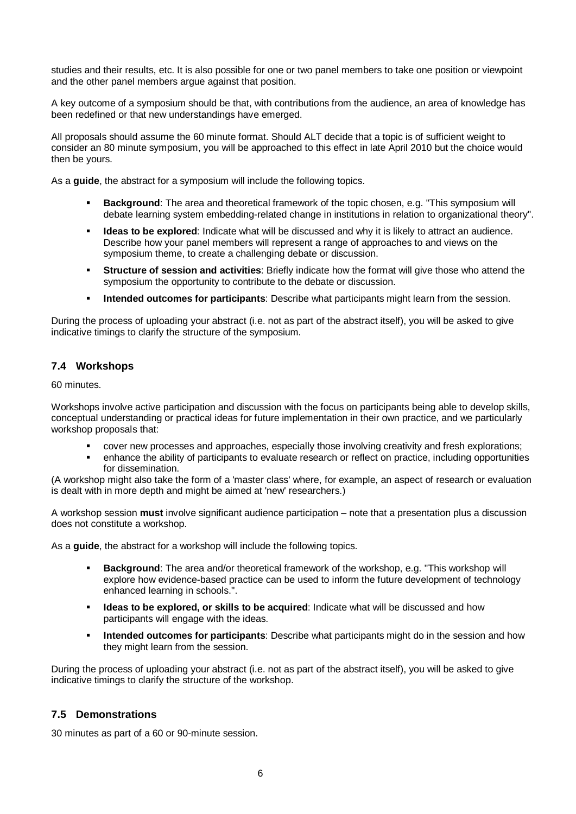<span id="page-5-0"></span>studies and their results, etc. It is also possible for one or two panel members to take one position or viewpoint and the other panel members argue against that position.

A key outcome of a symposium should be that, with contributions from the audience, an area of knowledge has been redefined or that new understandings have emerged.

All proposals should assume the 60 minute format. Should ALT decide that a topic is of sufficient weight to consider an 80 minute symposium, you will be approached to this effect in late April 2010 but the choice would then be yours.

As a **guide**, the abstract for a symposium will include the following topics.

- **Background**: The area and theoretical framework of the topic chosen, e.g. "This symposium will debate learning system embedding-related change in institutions in relation to organizational theory".
- **Ideas to be explored**: Indicate what will be discussed and why it is likely to attract an audience. Describe how your panel members will represent a range of approaches to and views on the symposium theme, to create a challenging debate or discussion.
- **Structure of session and activities**: Briefly indicate how the format will give those who attend the symposium the opportunity to contribute to the debate or discussion.
- **Intended outcomes for participants**: Describe what participants might learn from the session.

During the process of uploading your abstract (i.e. not as part of the abstract itself), you will be asked to give indicative timings to clarify the structure of the symposium.

## **7.4 Workshops**

60 minutes.

Workshops involve active participation and discussion with the focus on participants being able to develop skills, conceptual understanding or practical ideas for future implementation in their own practice, and we particularly workshop proposals that:

- cover new processes and approaches, especially those involving creativity and fresh explorations;
- enhance the ability of participants to evaluate research or reflect on practice, including opportunities for dissemination.

(A workshop might also take the form of a 'master class' where, for example, an aspect of research or evaluation is dealt with in more depth and might be aimed at 'new' researchers.)

A workshop session **must** involve significant audience participation – note that a presentation plus a discussion does not constitute a workshop.

As a **guide**, the abstract for a workshop will include the following topics.

- **Background**: The area and/or theoretical framework of the workshop, e.g. "This workshop will explore how evidence-based practice can be used to inform the future development of technology enhanced learning in schools.".
- **Ideas to be explored, or skills to be acquired**: Indicate what will be discussed and how participants will engage with the ideas.
- **Intended outcomes for participants**: Describe what participants might do in the session and how they might learn from the session.

During the process of uploading your abstract (i.e. not as part of the abstract itself), you will be asked to give indicative timings to clarify the structure of the workshop.

## **7.5 Demonstrations**

30 minutes as part of a 60 or 90-minute session.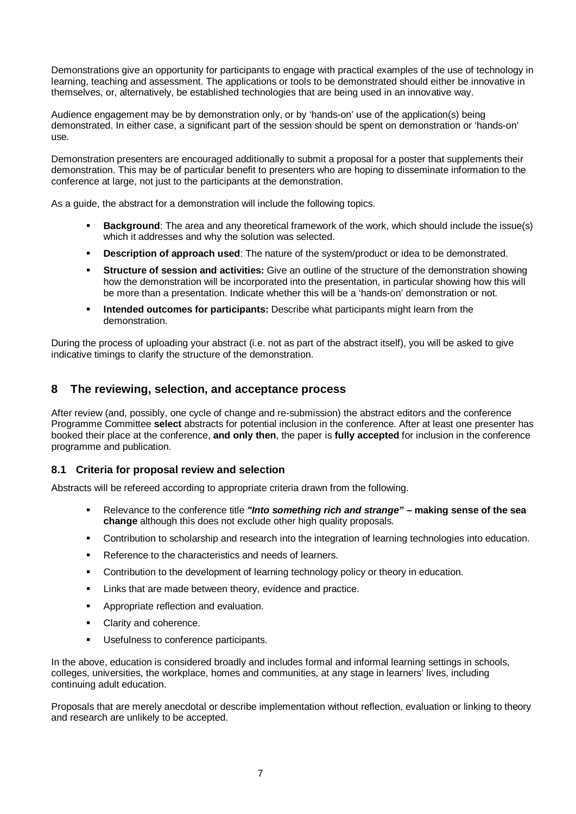<span id="page-6-0"></span>Demonstrations give an opportunity for participants to engage with practical examples of the use of technology in learning, teaching and assessment. The applications or tools to be demonstrated should either be innovative in themselves, or, alternatively, be established technologies that are being used in an innovative way.

Audience engagement may be by demonstration only, or by 'hands-on' use of the application(s) being demonstrated. In either case, a significant part of the session should be spent on demonstration or 'hands-on' use.

Demonstration presenters are encouraged additionally to submit a proposal for a poster that supplements their demonstration. This may be of particular benefit to presenters who are hoping to disseminate information to the conference at large, not just to the participants at the demonstration.

As a guide, the abstract for a demonstration will include the following topics.

- **Background**: The area and any theoretical framework of the work, which should include the issue(s) which it addresses and why the solution was selected.
- **Description of approach used**: The nature of the system/product or idea to be demonstrated.
- **Structure of session and activities:** Give an outline of the structure of the demonstration showing how the demonstration will be incorporated into the presentation, in particular showing how this will be more than a presentation. Indicate whether this will be a 'hands-on' demonstration or not.
- **Intended outcomes for participants:** Describe what participants might learn from the demonstration.

During the process of uploading your abstract (i.e. not as part of the abstract itself), you will be asked to give indicative timings to clarify the structure of the demonstration.

## **8 The reviewing, selection, and acceptance process**

After review (and, possibly, one cycle of change and re-submission) the abstract editors and the conference Programme Committee **select** abstracts for potential inclusion in the conference. After at least one presenter has booked their place at the conference, **and only then**, the paper is **fully accepted** for inclusion in the conference programme and publication.

## **8.1 Criteria for proposal review and selection**

Abstracts will be refereed according to appropriate criteria drawn from the following.

- Relevance to the conference title *"Into something rich and strange"*  **making sense of the sea change** although this does not exclude other high quality proposals*.*
- Contribution to scholarship and research into the integration of learning technologies into education.
- Reference to the characteristics and needs of learners.
- **Contribution to the development of learning technology policy or theory in education.**
- **EXECT** Links that are made between theory, evidence and practice.
- **Appropriate reflection and evaluation.**
- Clarity and coherence.
- **Usefulness to conference participants.**

In the above, education is considered broadly and includes formal and informal learning settings in schools, colleges, universities, the workplace, homes and communities, at any stage in learners' lives, including continuing adult education.

Proposals that are merely anecdotal or describe implementation without reflection, evaluation or linking to theory and research are unlikely to be accepted.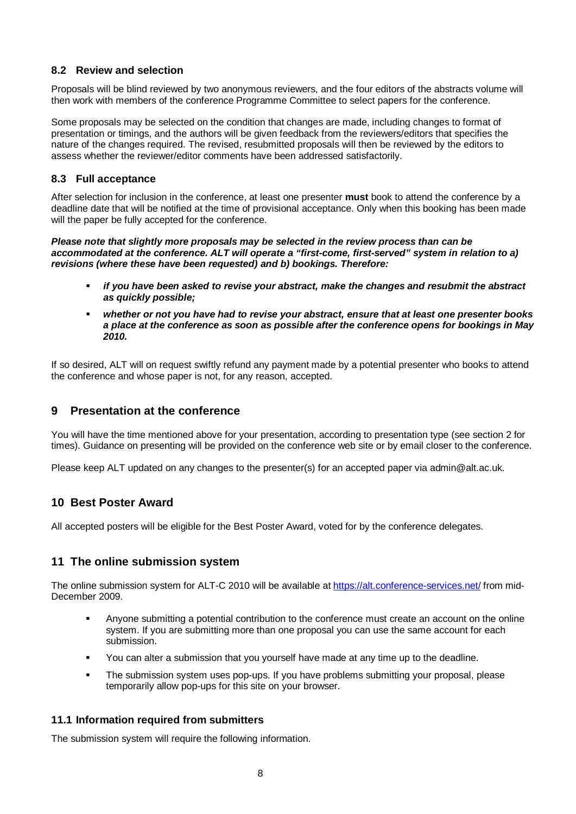## <span id="page-7-0"></span>**8.2 Review and selection**

Proposals will be blind reviewed by two anonymous reviewers, and the four editors of the abstracts volume will then work with members of the conference Programme Committee to select papers for the conference.

Some proposals may be selected on the condition that changes are made, including changes to format of presentation or timings, and the authors will be given feedback from the reviewers/editors that specifies the nature of the changes required. The revised, resubmitted proposals will then be reviewed by the editors to assess whether the reviewer/editor comments have been addressed satisfactorily.

#### **8.3 Full acceptance**

After selection for inclusion in the conference, at least one presenter **must** book to attend the conference by a deadline date that will be notified at the time of provisional acceptance. Only when this booking has been made will the paper be fully accepted for the conference.

*Please note that slightly more proposals may be selected in the review process than can be accommodated at the conference. ALT will operate a "first-come, first-served" system in relation to a) revisions (where these have been requested) and b) bookings. Therefore:* 

- *if you have been asked to revise your abstract, make the changes and resubmit the abstract as quickly possible;*
- *whether or not you have had to revise your abstract, ensure that at least one presenter books a place at the conference as soon as possible after the conference opens for bookings in May 2010.*

If so desired, ALT will on request swiftly refund any payment made by a potential presenter who books to attend the conference and whose paper is not, for any reason, accepted.

## **9 Presentation at the conference**

You will have the time mentioned above for your presentation, according to presentation type (see section 2 for times). Guidance on presenting will be provided on the conference web site or by email closer to the conference.

Please keep ALT updated on any changes to the presenter(s) for an accepted paper via admin@alt.ac.uk.

## **10 Best Poster Award**

All accepted posters will be eligible for the Best Poster Award, voted for by the conference delegates.

## **11 The online submission system**

The online submission system for ALT-C 2010 will be available at <https://alt.conference-services.net/> from mid-December 2009.

- Anyone submitting a potential contribution to the conference must create an account on the online system. If you are submitting more than one proposal you can use the same account for each submission.
- **•** You can alter a submission that you yourself have made at any time up to the deadline.
- The submission system uses pop-ups. If you have problems submitting your proposal, please temporarily allow pop-ups for this site on your browser.

## **11.1 Information required from submitters**

The submission system will require the following information.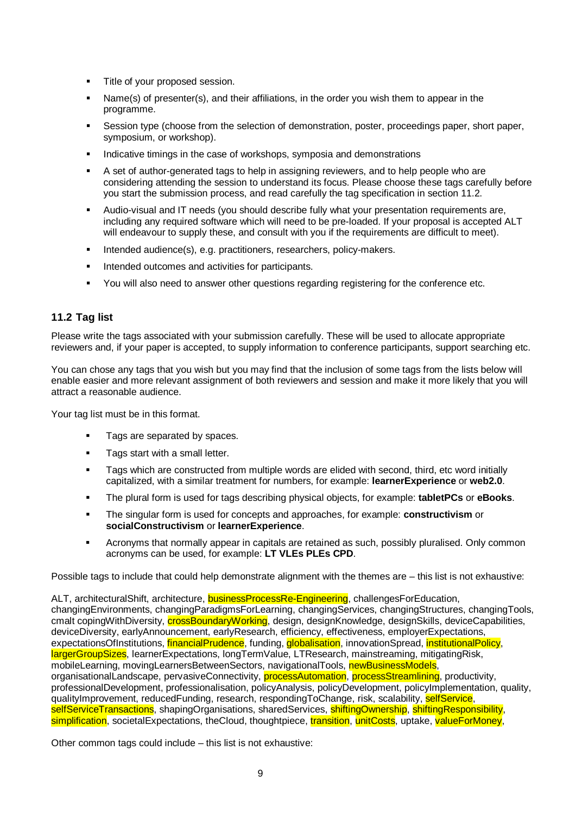- <span id="page-8-0"></span>**Title of your proposed session.**
- Name(s) of presenter(s), and their affiliations, in the order you wish them to appear in the programme.
- Session type (choose from the selection of demonstration, poster, proceedings paper, short paper, symposium, or workshop).
- Indicative timings in the case of workshops, symposia and demonstrations
- A set of author-generated tags to help in assigning reviewers, and to help people who are considering attending the session to understand its focus. Please choose these tags carefully before you start the submission process, and read carefully the tag specification in section 11.2.
- Audio-visual and IT needs (you should describe fully what your presentation requirements are, including any required software which will need to be pre-loaded. If your proposal is accepted ALT will endeavour to supply these, and consult with you if the requirements are difficult to meet).
- **Intended audience(s), e.g. practitioners, researchers, policy-makers.**
- Intended outcomes and activities for participants.
- You will also need to answer other questions regarding registering for the conference etc.

## **11.2 Tag list**

Please write the tags associated with your submission carefully. These will be used to allocate appropriate reviewers and, if your paper is accepted, to supply information to conference participants, support searching etc.

You can chose any tags that you wish but you may find that the inclusion of some tags from the lists below will enable easier and more relevant assignment of both reviewers and session and make it more likely that you will attract a reasonable audience.

Your tag list must be in this format.

- Tags are separated by spaces.
- **Tags start with a small letter.**
- Tags which are constructed from multiple words are elided with second, third, etc word initially capitalized, with a similar treatment for numbers, for example: **learnerExperience** or **web2.0**.
- The plural form is used for tags describing physical objects, for example: **tabletPCs** or **eBooks**.
- The singular form is used for concepts and approaches, for example: **constructivism** or **socialConstructivism** or **learnerExperience**.
- Acronyms that normally appear in capitals are retained as such, possibly pluralised. Only common acronyms can be used, for example: **LT VLEs PLEs CPD**.

Possible tags to include that could help demonstrate alignment with the themes are – this list is not exhaustive:

ALT, architecturalShift, architecture, **businessProcessRe-Engineering**, challengesForEducation, changingEnvironments, changingParadigmsForLearning, changingServices, changingStructures, changingTools, cmalt copingWithDiversity, **crossBoundaryWorking**, design, designKnowledge, designSkills, deviceCapabilities, deviceDiversity, earlyAnnouncement, earlyResearch, efficiency, effectiveness, employerExpectations, expectationsOfInstitutions, *financialPrudence*, funding, *globalisation*, innovationSpread, institutionalPolicy, largerGroupSizes, learnerExpectations, longTermValue, LTResearch, mainstreaming, mitigatingRisk, mobileLearning, movingLearnersBetweenSectors, navigationalTools, newBusinessModels, organisationalLandscape, pervasiveConnectivity, **processAutomation**, **processStreamlining**, productivity, professionalDevelopment, professionalisation, policyAnalysis, policyDevelopment, policyImplementation, quality, qualityImprovement, reducedFunding, research, respondingToChange, risk, scalability, selfService, selfServiceTransactions, shapingOrganisations, sharedServices, shiftingOwnership, shiftingResponsibility, simplification, societalExpectations, theCloud, thoughtpiece, transition, unitCosts, uptake, valueForMoney,

Other common tags could include – this list is not exhaustive: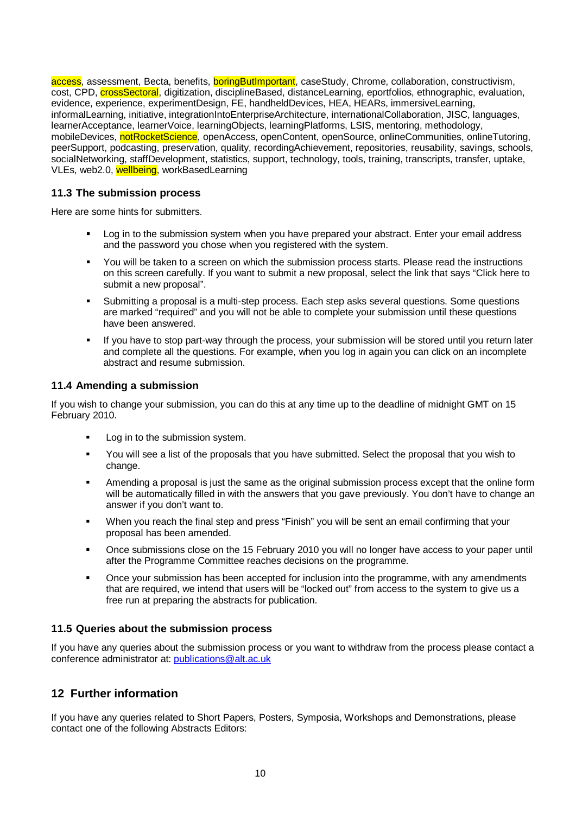<span id="page-9-0"></span>access, assessment, Becta, benefits, **boringButImportant**, caseStudy, Chrome, collaboration, constructivism, cost, CPD, crossSectoral, digitization, disciplineBased, distanceLearning, eportfolios, ethnographic, evaluation, evidence, experience, experimentDesign, FE, handheldDevices, HEA, HEARs, immersiveLearning. informalLearning, initiative, integrationIntoEnterpriseArchitecture, internationalCollaboration, JISC, languages, learnerAcceptance, learnerVoice, learningObjects, learningPlatforms, LSIS, mentoring, methodology, mobileDevices, notRocketScience, openAccess, openContent, openSource, onlineCommunities, onlineTutoring, peerSupport, podcasting, preservation, quality, recordingAchievement, repositories, reusability, savings, schools, socialNetworking, staffDevelopment, statistics, support, technology, tools, training, transcripts, transfer, uptake, VLEs, web2.0, wellbeing, workBasedLearning

#### **11.3 The submission process**

Here are some hints for submitters.

- Log in to the submission system when you have prepared your abstract. Enter your email address and the password you chose when you registered with the system.
- You will be taken to a screen on which the submission process starts. Please read the instructions on this screen carefully. If you want to submit a new proposal, select the link that says "Click here to submit a new proposal".
- Submitting a proposal is a multi-step process. Each step asks several questions. Some questions are marked "required" and you will not be able to complete your submission until these questions have been answered.
- If you have to stop part-way through the process, your submission will be stored until you return later and complete all the questions. For example, when you log in again you can click on an incomplete abstract and resume submission.

#### **11.4 Amending a submission**

If you wish to change your submission, you can do this at any time up to the deadline of midnight GMT on 15 February 2010.

- **Log in to the submission system.**
- You will see a list of the proposals that you have submitted. Select the proposal that you wish to change.
- Amending a proposal is just the same as the original submission process except that the online form will be automatically filled in with the answers that you gave previously. You don't have to change an answer if you don't want to.
- When you reach the final step and press "Finish" you will be sent an email confirming that your proposal has been amended.
- Once submissions close on the 15 February 2010 you will no longer have access to your paper until after the Programme Committee reaches decisions on the programme.
- Once your submission has been accepted for inclusion into the programme, with any amendments that are required, we intend that users will be "locked out" from access to the system to give us a free run at preparing the abstracts for publication.

#### **11.5 Queries about the submission process**

If you have any queries about the submission process or you want to withdraw from the process please contact a conference administrator at: [publications@alt.ac.uk](mailto:admin@alt.ac.uk) 

## **12 Further information**

If you have any queries related to Short Papers, Posters, Symposia, Workshops and Demonstrations, please contact one of the following Abstracts Editors: